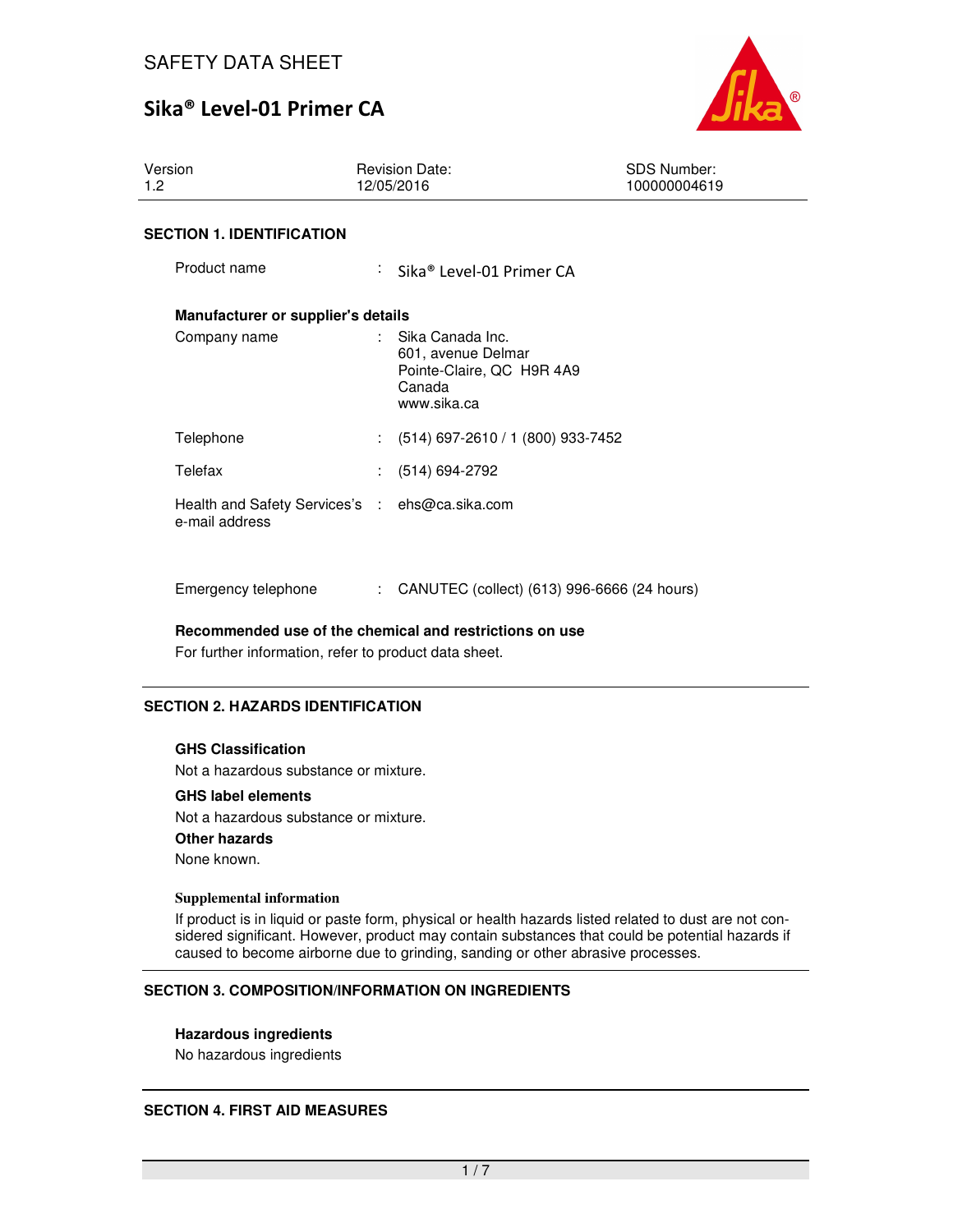

Version 1.2 Revision Date: 12/05/2016 SDS Number: 100000004619 **SECTION 1. IDENTIFICATION** Product name : Sika® Level-01 Primer CA **Manufacturer or supplier's details**  Company name : Sika Canada Inc. 601, avenue Delmar Pointe-Claire, QC H9R 4A9 Canada www.sika.ca Telephone : (514) 697-2610 / 1 (800) 933-7452 Telefax : (514) 694-2792 Health and Safety Services's : ehs@ca.sika.com e-mail address

Emergency telephone : CANUTEC (collect) (613) 996-6666 (24 hours)

**Recommended use of the chemical and restrictions on use** 

For further information, refer to product data sheet.

## **SECTION 2. HAZARDS IDENTIFICATION**

#### **GHS Classification**

Not a hazardous substance or mixture.

#### **GHS label elements**

Not a hazardous substance or mixture. **Other hazards** None known.

#### **Supplemental information**

If product is in liquid or paste form, physical or health hazards listed related to dust are not considered significant. However, product may contain substances that could be potential hazards if caused to become airborne due to grinding, sanding or other abrasive processes.

#### **SECTION 3. COMPOSITION/INFORMATION ON INGREDIENTS**

#### **Hazardous ingredients**

No hazardous ingredients

#### **SECTION 4. FIRST AID MEASURES**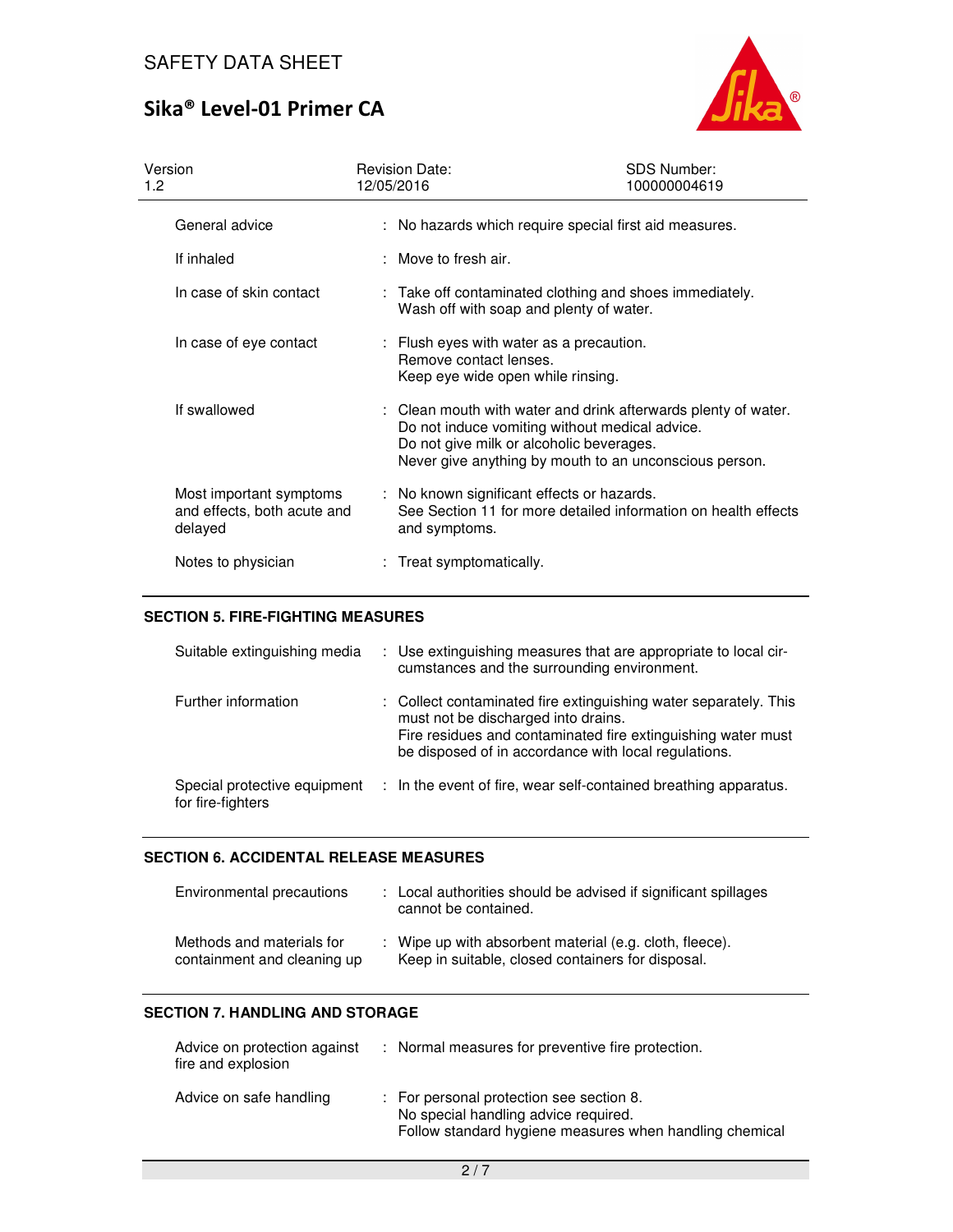

| Version<br>1.2                                                    | <b>Revision Date:</b><br>12/05/2016                                                                     | <b>SDS Number:</b><br>100000004619                                                                                                                                         |
|-------------------------------------------------------------------|---------------------------------------------------------------------------------------------------------|----------------------------------------------------------------------------------------------------------------------------------------------------------------------------|
| General advice                                                    |                                                                                                         | : No hazards which require special first aid measures.                                                                                                                     |
| If inhaled                                                        | $:$ Move to fresh air.                                                                                  |                                                                                                                                                                            |
| In case of skin contact                                           | Wash off with soap and plenty of water.                                                                 | : Take off contaminated clothing and shoes immediately.                                                                                                                    |
| In case of eye contact                                            | : Flush eyes with water as a precaution.<br>Remove contact lenses.<br>Keep eye wide open while rinsing. |                                                                                                                                                                            |
| If swallowed                                                      | Do not give milk or alcoholic beverages.                                                                | : Clean mouth with water and drink afterwards plenty of water.<br>Do not induce vomiting without medical advice.<br>Never give anything by mouth to an unconscious person. |
| Most important symptoms<br>and effects, both acute and<br>delayed | : No known significant effects or hazards.<br>and symptoms.                                             | See Section 11 for more detailed information on health effects                                                                                                             |
| Notes to physician                                                | : Treat symptomatically.                                                                                |                                                                                                                                                                            |

## **SECTION 5. FIRE-FIGHTING MEASURES**

| Suitable extinguishing media                      | : Use extinguishing measures that are appropriate to local cir-<br>cumstances and the surrounding environment.                                                                                                                  |
|---------------------------------------------------|---------------------------------------------------------------------------------------------------------------------------------------------------------------------------------------------------------------------------------|
| Further information                               | : Collect contaminated fire extinguishing water separately. This<br>must not be discharged into drains.<br>Fire residues and contaminated fire extinguishing water must<br>be disposed of in accordance with local regulations. |
| Special protective equipment<br>for fire-fighters | : In the event of fire, wear self-contained breathing apparatus.                                                                                                                                                                |

#### **SECTION 6. ACCIDENTAL RELEASE MEASURES**

| Environmental precautions                                | : Local authorities should be advised if significant spillages<br>cannot be contained.                       |
|----------------------------------------------------------|--------------------------------------------------------------------------------------------------------------|
| Methods and materials for<br>containment and cleaning up | : Wipe up with absorbent material (e.g. cloth, fleece).<br>Keep in suitable, closed containers for disposal. |

## **SECTION 7. HANDLING AND STORAGE**

| Advice on protection against<br>fire and explosion | : Normal measures for preventive fire protection.                                                                                           |
|----------------------------------------------------|---------------------------------------------------------------------------------------------------------------------------------------------|
| Advice on safe handling                            | : For personal protection see section 8.<br>No special handling advice required.<br>Follow standard hygiene measures when handling chemical |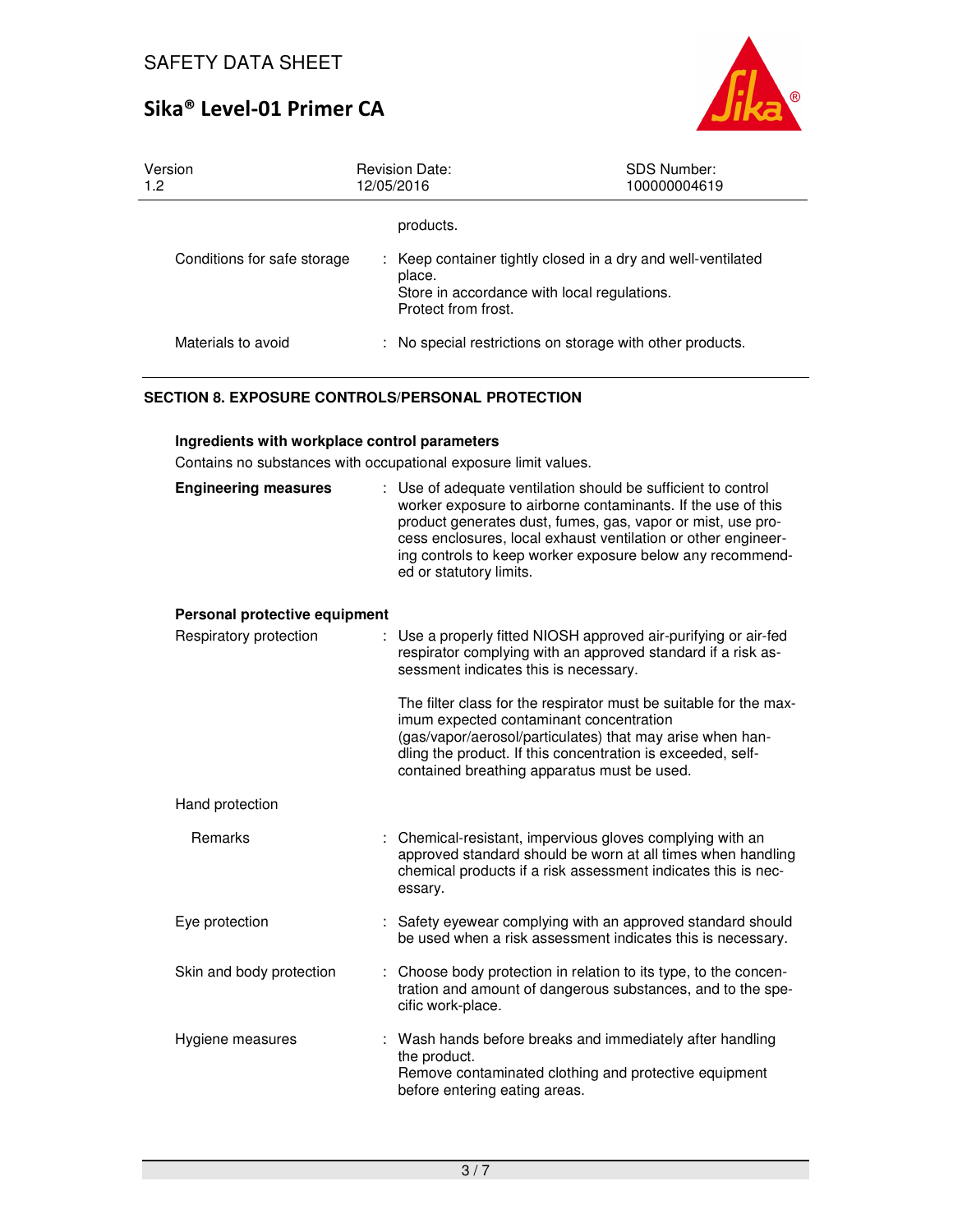

| Version<br>1.2              | <b>Revision Date:</b><br>12/05/2016                                                                                                          | <b>SDS Number:</b><br>100000004619 |
|-----------------------------|----------------------------------------------------------------------------------------------------------------------------------------------|------------------------------------|
|                             | products.                                                                                                                                    |                                    |
| Conditions for safe storage | : Keep container tightly closed in a dry and well-ventilated<br>place.<br>Store in accordance with local regulations.<br>Protect from frost. |                                    |
| Materials to avoid          | : No special restrictions on storage with other products.                                                                                    |                                    |

## **SECTION 8. EXPOSURE CONTROLS/PERSONAL PROTECTION**

### **Ingredients with workplace control parameters**

Contains no substances with occupational exposure limit values.

| <b>Engineering measures</b>   | : Use of adequate ventilation should be sufficient to control<br>worker exposure to airborne contaminants. If the use of this<br>product generates dust, fumes, gas, vapor or mist, use pro-<br>cess enclosures, local exhaust ventilation or other engineer-<br>ing controls to keep worker exposure below any recommend-<br>ed or statutory limits. |
|-------------------------------|-------------------------------------------------------------------------------------------------------------------------------------------------------------------------------------------------------------------------------------------------------------------------------------------------------------------------------------------------------|
| Personal protective equipment |                                                                                                                                                                                                                                                                                                                                                       |
| Respiratory protection        | : Use a properly fitted NIOSH approved air-purifying or air-fed<br>respirator complying with an approved standard if a risk as-<br>sessment indicates this is necessary.                                                                                                                                                                              |
|                               | The filter class for the respirator must be suitable for the max-<br>imum expected contaminant concentration<br>(gas/vapor/aerosol/particulates) that may arise when han-<br>dling the product. If this concentration is exceeded, self-<br>contained breathing apparatus must be used.                                                               |
| Hand protection               |                                                                                                                                                                                                                                                                                                                                                       |
| Remarks                       | : Chemical-resistant, impervious gloves complying with an<br>approved standard should be worn at all times when handling<br>chemical products if a risk assessment indicates this is nec-<br>essary.                                                                                                                                                  |
| Eye protection                | : Safety eyewear complying with an approved standard should<br>be used when a risk assessment indicates this is necessary.                                                                                                                                                                                                                            |
| Skin and body protection      | Choose body protection in relation to its type, to the concen-<br>tration and amount of dangerous substances, and to the spe-<br>cific work-place.                                                                                                                                                                                                    |
| Hygiene measures              | Wash hands before breaks and immediately after handling<br>the product.<br>Remove contaminated clothing and protective equipment<br>before entering eating areas.                                                                                                                                                                                     |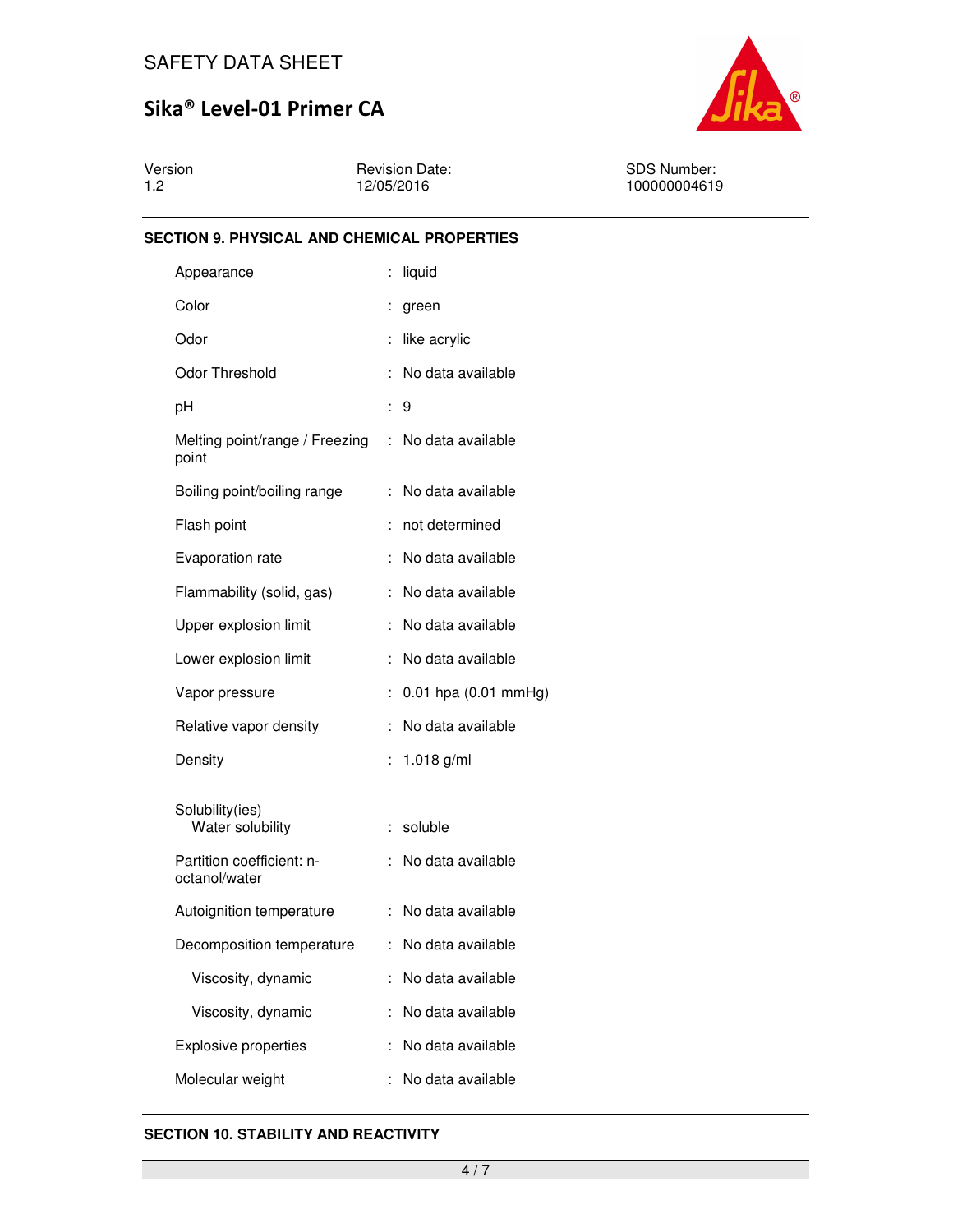

| Version | <b>Revision Date:</b> | <b>SDS Number:</b> |
|---------|-----------------------|--------------------|
| 1.2     | 12/05/2016            | 100000004619       |

### **SECTION 9. PHYSICAL AND CHEMICAL PROPERTIES**

| Appearance                                 |                      | liquid                   |
|--------------------------------------------|----------------------|--------------------------|
| Color                                      |                      | green                    |
| Odor                                       |                      | like acrylic             |
| Odor Threshold                             | :                    | No data available        |
| рH                                         | ÷                    | 9                        |
| Melting point/range / Freezing<br>point    | ÷                    | No data available        |
| Boiling point/boiling range                | ÷                    | No data available        |
| Flash point                                |                      | not determined           |
| Evaporation rate                           | ÷                    | No data available        |
| Flammability (solid, gas)                  | ÷                    | No data available        |
| Upper explosion limit                      | ÷                    | No data available        |
| Lower explosion limit                      | İ                    | No data available        |
| Vapor pressure                             | $\ddot{\phantom{a}}$ | $0.01$ hpa $(0.01$ mmHg) |
| Relative vapor density                     | t                    | No data available        |
| Density                                    | İ                    | 1.018 $g/ml$             |
| Solubility(ies)<br>Water solubility        | ÷                    | soluble                  |
| Partition coefficient: n-<br>octanol/water | ÷                    | No data available        |
| Autoignition temperature                   | ÷                    | No data available        |
| Decomposition temperature                  | ÷.                   | No data available        |
| Viscosity, dynamic                         |                      | No data available        |
| Viscosity, dynamic                         |                      | No data available        |
| <b>Explosive properties</b>                |                      | No data available        |
| Molecular weight                           |                      | No data available        |

#### **SECTION 10. STABILITY AND REACTIVITY**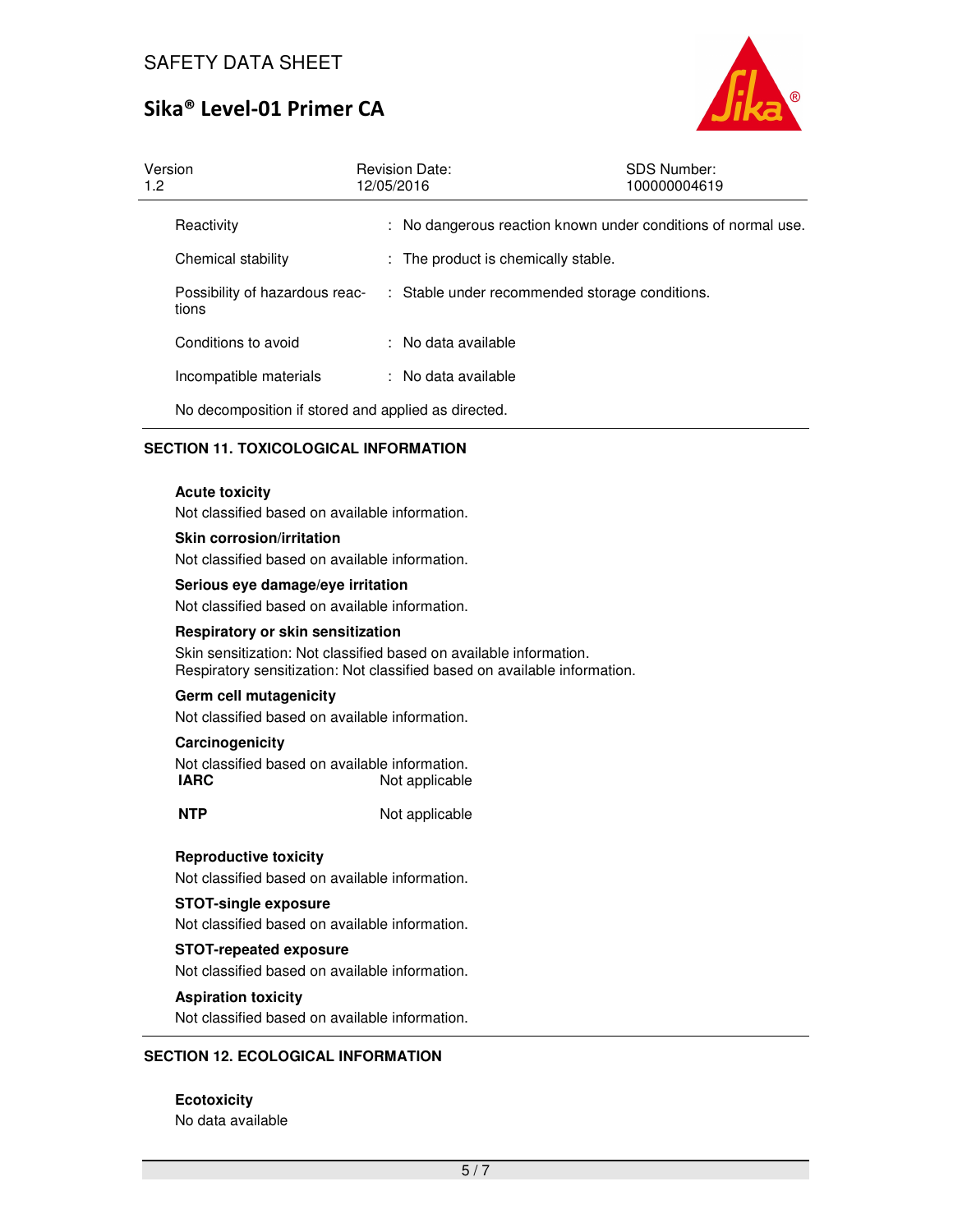

| Version<br>1.2 <sub>2</sub>             | <b>Revision Date:</b><br>12/05/2016                 | <b>SDS Number:</b><br>100000004619                            |
|-----------------------------------------|-----------------------------------------------------|---------------------------------------------------------------|
| Reactivity                              |                                                     | : No dangerous reaction known under conditions of normal use. |
| Chemical stability                      | : The product is chemically stable.                 |                                                               |
| Possibility of hazardous reac-<br>tions |                                                     | : Stable under recommended storage conditions.                |
| Conditions to avoid                     | : No data available                                 |                                                               |
| Incompatible materials                  | : No data available                                 |                                                               |
|                                         | No decomposition if stored and applied as directed. |                                                               |

## **SECTION 11. TOXICOLOGICAL INFORMATION**

#### **Acute toxicity**

Not classified based on available information.

#### **Skin corrosion/irritation**

Not classified based on available information.

#### **Serious eye damage/eye irritation**

Not classified based on available information.

#### **Respiratory or skin sensitization**

Skin sensitization: Not classified based on available information. Respiratory sensitization: Not classified based on available information.

#### **Germ cell mutagenicity**

Not classified based on available information.

### **Carcinogenicity**

Not classified based on available information. **IARC** Not applicable

**NTP** Not applicable

#### **Reproductive toxicity**

Not classified based on available information.

#### **STOT-single exposure**

Not classified based on available information.

#### **STOT-repeated exposure**

Not classified based on available information.

#### **Aspiration toxicity**

Not classified based on available information.

#### **SECTION 12. ECOLOGICAL INFORMATION**

**Ecotoxicity**  No data available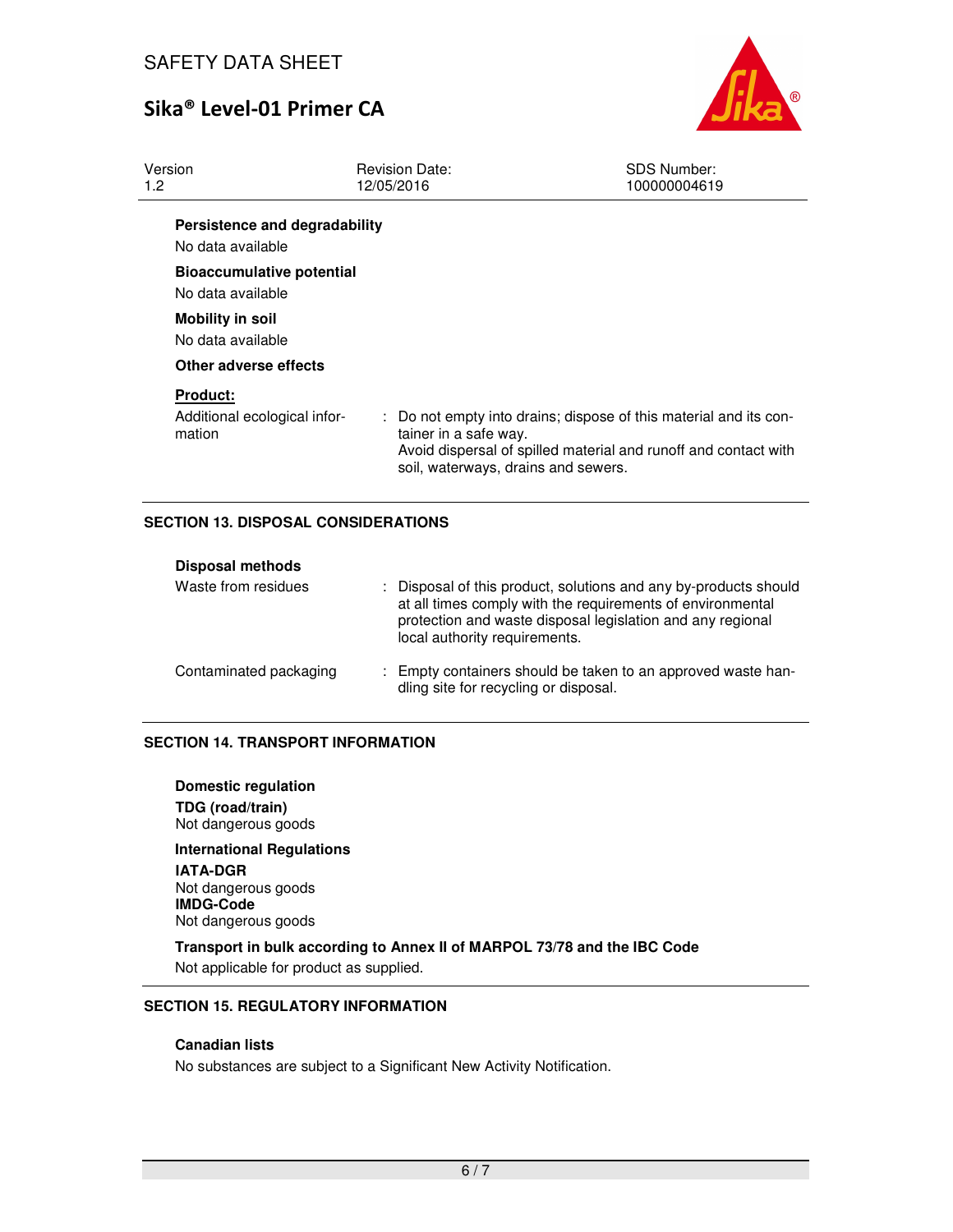

| 1.2 <sub>2</sub> | Version                                                   | <b>Revision Date:</b><br>12/05/2016                          | <b>SDS Number:</b><br>100000004619                                                                                                   |
|------------------|-----------------------------------------------------------|--------------------------------------------------------------|--------------------------------------------------------------------------------------------------------------------------------------|
|                  | Persistence and degradability<br>No data available        |                                                              |                                                                                                                                      |
|                  | <b>Bioaccumulative potential</b><br>No data available     |                                                              |                                                                                                                                      |
|                  | <b>Mobility in soil</b><br>No data available              |                                                              |                                                                                                                                      |
|                  | Other adverse effects                                     |                                                              |                                                                                                                                      |
|                  | <b>Product:</b><br>Additional ecological infor-<br>mation | tainer in a safe way.<br>soil, waterways, drains and sewers. | : Do not empty into drains; dispose of this material and its con-<br>Avoid dispersal of spilled material and runoff and contact with |

## **SECTION 13. DISPOSAL CONSIDERATIONS**

| <b>Disposal methods</b> |                                                                                                                                                                                                                               |
|-------------------------|-------------------------------------------------------------------------------------------------------------------------------------------------------------------------------------------------------------------------------|
| Waste from residues     | : Disposal of this product, solutions and any by-products should<br>at all times comply with the requirements of environmental<br>protection and waste disposal legislation and any regional<br>local authority requirements. |
| Contaminated packaging  | : Empty containers should be taken to an approved waste han-<br>dling site for recycling or disposal.                                                                                                                         |

#### **SECTION 14. TRANSPORT INFORMATION**

**Domestic regulation TDG (road/train)** Not dangerous goods

**International Regulations IATA-DGR** Not dangerous goods **IMDG-Code** Not dangerous goods

**Transport in bulk according to Annex II of MARPOL 73/78 and the IBC Code**  Not applicable for product as supplied.

## **SECTION 15. REGULATORY INFORMATION**

## **Canadian lists**

No substances are subject to a Significant New Activity Notification.